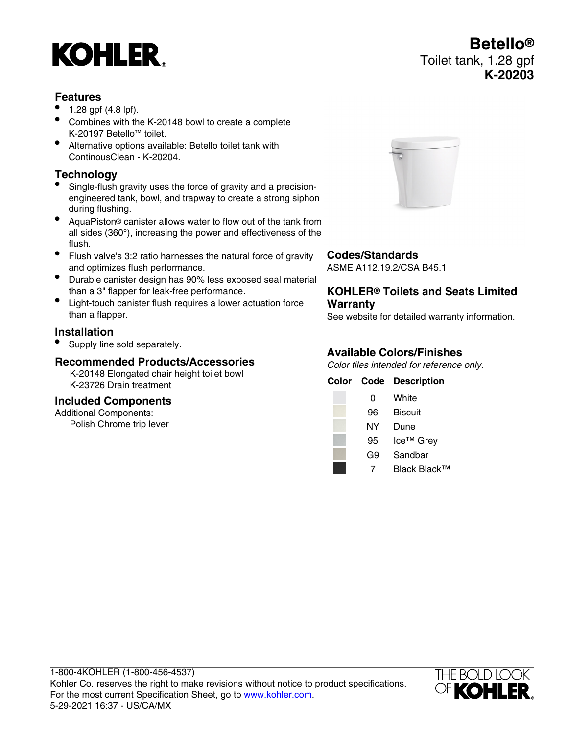# **KOHLER**

### **Features**

- 1.28 gpf (4.8 lpf).
- Combines with the K-20148 bowl to create a complete K-20197 Betello™ toilet.
- Alternative options available: Betello toilet tank with ContinousClean - K-20204.

## **Technology**

- Single-flush gravity uses the force of gravity and a precisionengineered tank, bowl, and trapway to create a strong siphon during flushing.
- AquaPiston® canister allows water to flow out of the tank from all sides (360°), increasing the power and effectiveness of the flush.
- Flush valve's 3:2 ratio harnesses the natural force of gravity and optimizes flush performance.
- Durable canister design has 90% less exposed seal material than a 3" flapper for leak-free performance.
- Light-touch canister flush requires a lower actuation force than a flapper.

### **Installation**

• Supply line sold separately.

#### **Recommended Products/Accessories**

K-20148 Elongated chair height toilet bowl K-23726 Drain treatment

#### **Included Components**

Additional Components: Polish Chrome trip lever



#### **Codes/Standards**

ASME A112.19.2/CSA B45.1

#### **KOHLER® Toilets and Seats Limited Warranty**

See website for detailed warranty information.

#### **Available Colors/Finishes**

Color tiles intended for reference only.

|    | <b>Color Code Description</b> |
|----|-------------------------------|
| 0  | White                         |
| 96 | <b>Biscuit</b>                |
| NΥ | Dune                          |
| 95 | Ice™ Grey                     |
| G9 | Sandbar                       |
|    | Black Black™                  |



## **Betello®** Toilet tank, 1.28 gpf **K-20203**